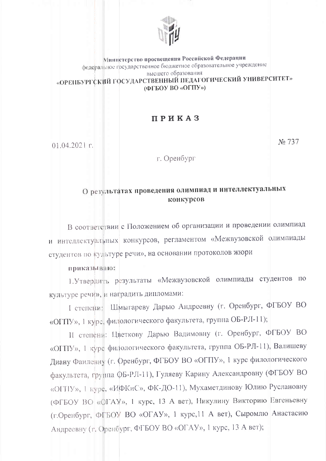

## Министерство просвещения Российской Федерации федеральное грсударственное бюджетное образовательное учреждение высшего образования «ОРЕНБУРГСКИЙ ГОСУДАРСТВЕННЫЙ ПЕДАГОГИЧЕСКИЙ УНИВЕРСИТЕТ» (ФГБОУ ВО «ОГПУ»)

## ПРИКАЗ

 $01.04.2021$  r.

г. Оренбург

No 737

## О результатах проведения олимпиад и интеллектуальных конкурсов

В соответствии с Положением об организации и проведении олимпиад и интеллектуалиных конкурсов, регламентом «Межвузовской олимпиады студентов по культуре речи», на основании протоколов жюри

## приказываю:

1. Утвердить результаты «Межвузовской олимпиады студентов по культуре речи», и наградить дипломами:

I степени: Шмыгареву Дарью Андреевну (г. Оренбург, ФГБОУ ВО «ОГПУ», 1 курс, филологического факультета, группа ОБ-РЛ-11);

II степени: Цветкову Дарью Вадимовну (г. Оренбург, ФГБОУ ВО «ОГТГУ», 1 курс филологического факультета, группа ОБ-РЛ-11), Валишеву Диану Фаилевну (г. Френбург, ФГБОУ ВО «ОГПУ», 1 курс филологического факультета, группа ФБ-РЛ-11), Гуляеву Карину Александровну (ФГБОУ ВО «ОГТГУ», 1 курс, «ИФКиС», ФК-ДО-11), Мухаметдинову Юлию Руслановну (ФГБОУ ВО «ФГАУ», 1 курс, 13 А вет), Никулину Викторию Евгеньевну (г. Оренбург, ФГБОУ ВО «ОГАУ», 1 курс, 11 А вет), Сыромлю Анастасию Андреевну (г. Оренбург, ФГБОУ ВО «ОГАУ», 1 курс, 13 А вет);